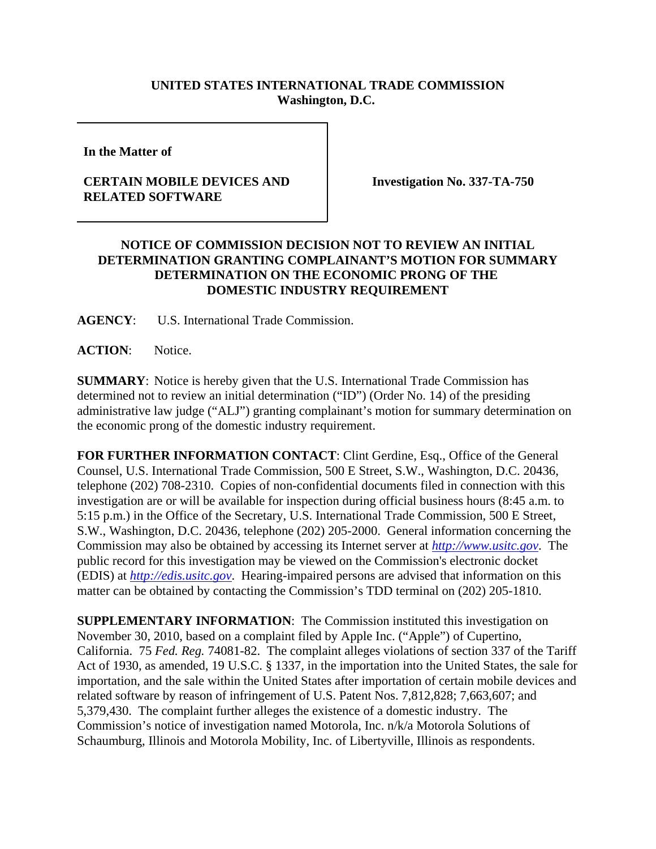## **UNITED STATES INTERNATIONAL TRADE COMMISSION Washington, D.C.**

**In the Matter of** 

## **CERTAIN MOBILE DEVICES AND RELATED SOFTWARE**

**Investigation No. 337-TA-750**

## **NOTICE OF COMMISSION DECISION NOT TO REVIEW AN INITIAL DETERMINATION GRANTING COMPLAINANT'S MOTION FOR SUMMARY DETERMINATION ON THE ECONOMIC PRONG OF THE DOMESTIC INDUSTRY REQUIREMENT**

**AGENCY**: U.S. International Trade Commission.

**ACTION**: Notice.

**SUMMARY**: Notice is hereby given that the U.S. International Trade Commission has determined not to review an initial determination ("ID") (Order No. 14) of the presiding administrative law judge ("ALJ") granting complainant's motion for summary determination on the economic prong of the domestic industry requirement.

**FOR FURTHER INFORMATION CONTACT**: Clint Gerdine, Esq., Office of the General Counsel, U.S. International Trade Commission, 500 E Street, S.W., Washington, D.C. 20436, telephone (202) 708-2310. Copies of non-confidential documents filed in connection with this investigation are or will be available for inspection during official business hours (8:45 a.m. to 5:15 p.m.) in the Office of the Secretary, U.S. International Trade Commission, 500 E Street, S.W., Washington, D.C. 20436, telephone (202) 205-2000. General information concerning the Commission may also be obtained by accessing its Internet server at *http://www.usitc.gov*. The public record for this investigation may be viewed on the Commission's electronic docket (EDIS) at *http://edis.usitc.gov*. Hearing-impaired persons are advised that information on this matter can be obtained by contacting the Commission's TDD terminal on (202) 205-1810.

**SUPPLEMENTARY INFORMATION**: The Commission instituted this investigation on November 30, 2010, based on a complaint filed by Apple Inc. ("Apple") of Cupertino, California. 75 *Fed. Reg.* 74081-82. The complaint alleges violations of section 337 of the Tariff Act of 1930, as amended, 19 U.S.C. § 1337, in the importation into the United States, the sale for importation, and the sale within the United States after importation of certain mobile devices and related software by reason of infringement of U.S. Patent Nos. 7,812,828; 7,663,607; and 5,379,430. The complaint further alleges the existence of a domestic industry. The Commission's notice of investigation named Motorola, Inc. n/k/a Motorola Solutions of Schaumburg, Illinois and Motorola Mobility, Inc. of Libertyville, Illinois as respondents.